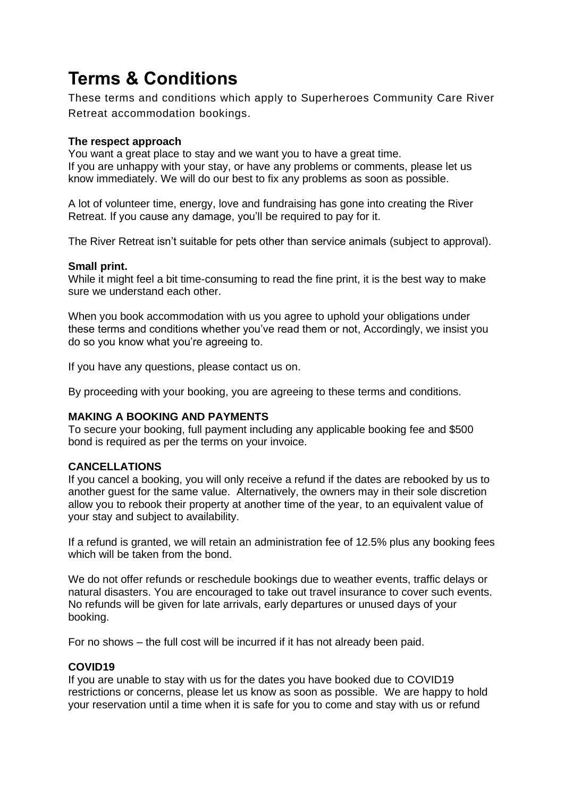# **Terms & Conditions**

These terms and conditions which apply to Superheroes Community Care River Retreat accommodation bookings.

#### **The respect approach**

You want a great place to stay and we want you to have a great time. If you are unhappy with your stay, or have any problems or comments, please let us know immediately. We will do our best to fix any problems as soon as possible.

A lot of volunteer time, energy, love and fundraising has gone into creating the River Retreat. If you cause any damage, you'll be required to pay for it.

The River Retreat isn't suitable for pets other than service animals (subject to approval).

#### **Small print.**

While it might feel a bit time-consuming to read the fine print, it is the best way to make sure we understand each other.

When you book accommodation with us you agree to uphold your obligations under these terms and conditions whether you've read them or not, Accordingly, we insist you do so you know what you're agreeing to.

If you have any questions, please contact us on.

By proceeding with your booking, you are agreeing to these terms and conditions.

## **MAKING A BOOKING AND PAYMENTS**

To secure your booking, full payment including any applicable booking fee and \$500 bond is required as per the terms on your invoice.

## **CANCELLATIONS**

If you cancel a booking, you will only receive a refund if the dates are rebooked by us to another guest for the same value. Alternatively, the owners may in their sole discretion allow you to rebook their property at another time of the year, to an equivalent value of your stay and subject to availability.

If a refund is granted, we will retain an administration fee of 12.5% plus any booking fees which will be taken from the bond.

We do not offer refunds or reschedule bookings due to weather events, traffic delays or natural disasters. You are encouraged to take out travel insurance to cover such events. No refunds will be given for late arrivals, early departures or unused days of your booking.

For no shows – the full cost will be incurred if it has not already been paid.

## **COVID19**

If you are unable to stay with us for the dates you have booked due to COVID19 restrictions or concerns, please let us know as soon as possible. We are happy to hold your reservation until a time when it is safe for you to come and stay with us or refund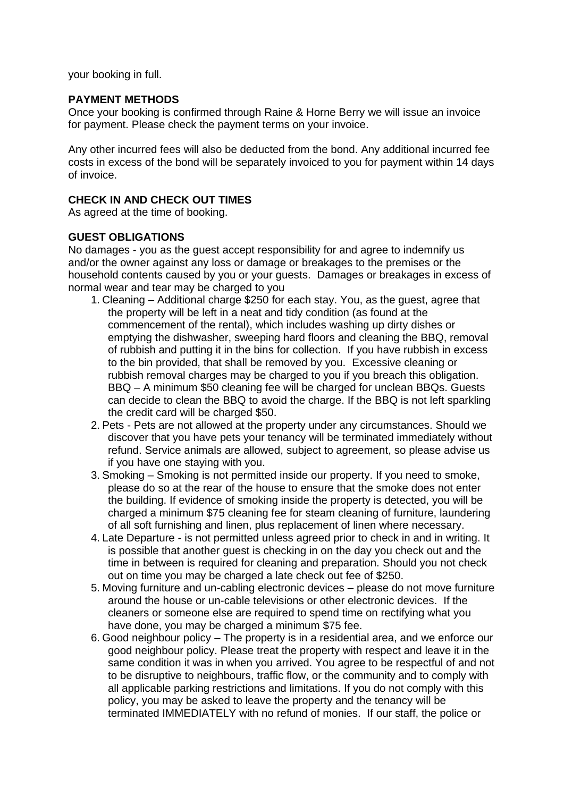your booking in full.

#### **PAYMENT METHODS**

Once your booking is confirmed through Raine & Horne Berry we will issue an invoice for payment. Please check the payment terms on your invoice.

Any other incurred fees will also be deducted from the bond. Any additional incurred fee costs in excess of the bond will be separately invoiced to you for payment within 14 days of invoice.

#### **CHECK IN AND CHECK OUT TIMES**

As agreed at the time of booking.

#### **GUEST OBLIGATIONS**

No damages - you as the guest accept responsibility for and agree to indemnify us and/or the owner against any loss or damage or breakages to the premises or the household contents caused by you or your guests. Damages or breakages in excess of normal wear and tear may be charged to you

- 1. Cleaning Additional charge \$250 for each stay. You, as the guest, agree that the property will be left in a neat and tidy condition (as found at the commencement of the rental), which includes washing up dirty dishes or emptying the dishwasher, sweeping hard floors and cleaning the BBQ, removal of rubbish and putting it in the bins for collection. If you have rubbish in excess to the bin provided, that shall be removed by you. Excessive cleaning or rubbish removal charges may be charged to you if you breach this obligation. BBQ – A minimum \$50 cleaning fee will be charged for unclean BBQs. Guests can decide to clean the BBQ to avoid the charge. If the BBQ is not left sparkling the credit card will be charged \$50.
- 2. Pets Pets are not allowed at the property under any circumstances. Should we discover that you have pets your tenancy will be terminated immediately without refund. Service animals are allowed, subject to agreement, so please advise us if you have one staying with you.
- 3. Smoking Smoking is not permitted inside our property. If you need to smoke, please do so at the rear of the house to ensure that the smoke does not enter the building. If evidence of smoking inside the property is detected, you will be charged a minimum \$75 cleaning fee for steam cleaning of furniture, laundering of all soft furnishing and linen, plus replacement of linen where necessary.
- 4. Late Departure is not permitted unless agreed prior to check in and in writing. It is possible that another guest is checking in on the day you check out and the time in between is required for cleaning and preparation. Should you not check out on time you may be charged a late check out fee of \$250.
- 5. Moving furniture and un-cabling electronic devices please do not move furniture around the house or un-cable televisions or other electronic devices. If the cleaners or someone else are required to spend time on rectifying what you have done, you may be charged a minimum \$75 fee.
- 6. Good neighbour policy The property is in a residential area, and we enforce our good neighbour policy. Please treat the property with respect and leave it in the same condition it was in when you arrived. You agree to be respectful of and not to be disruptive to neighbours, traffic flow, or the community and to comply with all applicable parking restrictions and limitations. If you do not comply with this policy, you may be asked to leave the property and the tenancy will be terminated IMMEDIATELY with no refund of monies. If our staff, the police or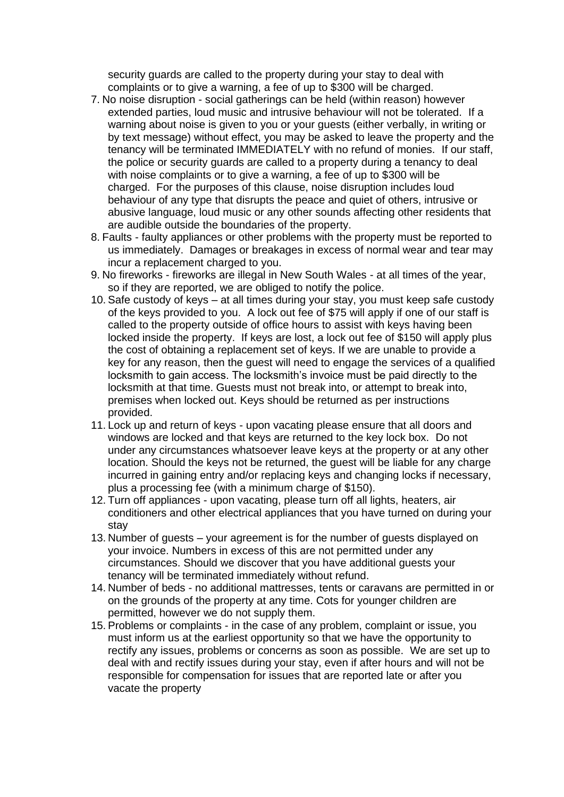security guards are called to the property during your stay to deal with complaints or to give a warning, a fee of up to \$300 will be charged.

- 7. No noise disruption social gatherings can be held (within reason) however extended parties, loud music and intrusive behaviour will not be tolerated. If a warning about noise is given to you or your guests (either verbally, in writing or by text message) without effect, you may be asked to leave the property and the tenancy will be terminated IMMEDIATELY with no refund of monies. If our staff, the police or security guards are called to a property during a tenancy to deal with noise complaints or to give a warning, a fee of up to \$300 will be charged. For the purposes of this clause, noise disruption includes loud behaviour of any type that disrupts the peace and quiet of others, intrusive or abusive language, loud music or any other sounds affecting other residents that are audible outside the boundaries of the property.
- 8. Faults faulty appliances or other problems with the property must be reported to us immediately. Damages or breakages in excess of normal wear and tear may incur a replacement charged to you.
- 9. No fireworks fireworks are illegal in New South Wales at all times of the year, so if they are reported, we are obliged to notify the police.
- 10. Safe custody of keys at all times during your stay, you must keep safe custody of the keys provided to you. A lock out fee of \$75 will apply if one of our staff is called to the property outside of office hours to assist with keys having been locked inside the property. If keys are lost, a lock out fee of \$150 will apply plus the cost of obtaining a replacement set of keys. If we are unable to provide a key for any reason, then the guest will need to engage the services of a qualified locksmith to gain access. The locksmith's invoice must be paid directly to the locksmith at that time. Guests must not break into, or attempt to break into, premises when locked out. Keys should be returned as per instructions provided.
- 11. Lock up and return of keys upon vacating please ensure that all doors and windows are locked and that keys are returned to the key lock box. Do not under any circumstances whatsoever leave keys at the property or at any other location. Should the keys not be returned, the guest will be liable for any charge incurred in gaining entry and/or replacing keys and changing locks if necessary, plus a processing fee (with a minimum charge of \$150).
- 12. Turn off appliances upon vacating, please turn off all lights, heaters, air conditioners and other electrical appliances that you have turned on during your stay
- 13. Number of guests your agreement is for the number of guests displayed on your invoice. Numbers in excess of this are not permitted under any circumstances. Should we discover that you have additional guests your tenancy will be terminated immediately without refund.
- 14. Number of beds no additional mattresses, tents or caravans are permitted in or on the grounds of the property at any time. Cots for younger children are permitted, however we do not supply them.
- 15. Problems or complaints in the case of any problem, complaint or issue, you must inform us at the earliest opportunity so that we have the opportunity to rectify any issues, problems or concerns as soon as possible. We are set up to deal with and rectify issues during your stay, even if after hours and will not be responsible for compensation for issues that are reported late or after you vacate the property